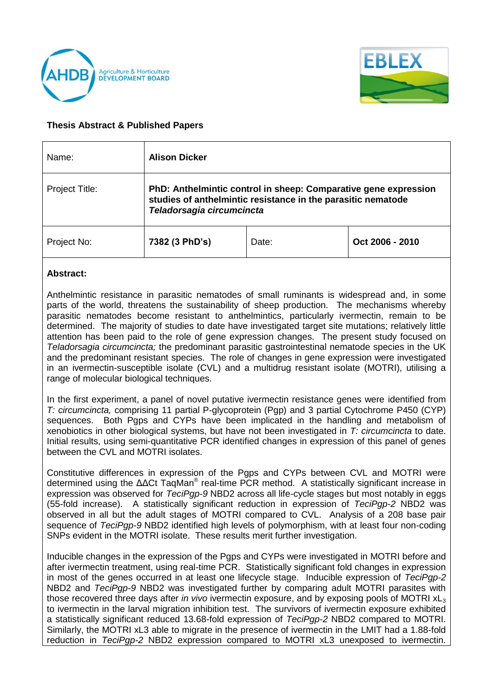



## **Thesis Abstract & Published Papers**

| Name:                 | <b>Alison Dicker</b>                                                                                                                                         |       |                 |
|-----------------------|--------------------------------------------------------------------------------------------------------------------------------------------------------------|-------|-----------------|
| <b>Project Title:</b> | PhD: Anthelmintic control in sheep: Comparative gene expression<br>studies of anthelmintic resistance in the parasitic nematode<br>Teladorsagia circumcincta |       |                 |
| Project No:           | 7382 (3 PhD's)                                                                                                                                               | Date: | Oct 2006 - 2010 |

## **Abstract:**

Anthelmintic resistance in parasitic nematodes of small ruminants is widespread and, in some parts of the world, threatens the sustainability of sheep production. The mechanisms whereby parasitic nematodes become resistant to anthelmintics, particularly ivermectin, remain to be determined. The majority of studies to date have investigated target site mutations; relatively little attention has been paid to the role of gene expression changes. The present study focused on *Teladorsagia circumcincta;* the predominant parasitic gastrointestinal nematode species in the UK and the predominant resistant species. The role of changes in gene expression were investigated in an ivermectin-susceptible isolate (CVL) and a multidrug resistant isolate (MOTRI), utilising a range of molecular biological techniques.

In the first experiment, a panel of novel putative ivermectin resistance genes were identified from *T: circumcincta,* comprising 11 partial P-glycoprotein (Pgp) and 3 partial Cytochrome P450 (CYP) sequences. Both Pgps and CYPs have been implicated in the handling and metabolism of xenobiotics in other biological systems, but have not been investigated in *T: circumcincta* to date. Initial results, using semi-quantitative PCR identified changes in expression of this panel of genes between the CVL and MOTRI isolates.

Constitutive differences in expression of the Pgps and CYPs between CVL and MOTRI were determined using the ΔΔCt TaqMan<sup>®</sup> real-time PCR method. A statistically significant increase in expression was observed for *TeciPgp-9* NBD2 across all life-cycle stages but most notably in eggs (55-fold increase). A statistically significant reduction in expression of *TeciPgp-2* NBD2 was observed in all but the adult stages of MOTRI compared to CVL. Analysis of a 208 base pair sequence of *TeciPgp-9* NBD2 identified high levels of polymorphism, with at least four non-coding SNPs evident in the MOTRI isolate. These results merit further investigation.

Inducible changes in the expression of the Pgps and CYPs were investigated in MOTRI before and after ivermectin treatment, using real-time PCR. Statistically significant fold changes in expression in most of the genes occurred in at least one lifecycle stage. Inducible expression of *TeciPgp-2*  NBD2 and *TeciPgp-9* NBD2 was investigated further by comparing adult MOTRI parasites with those recovered three days after *in vivo* ivermectin exposure, and by exposing pools of MOTRI xL<sup>3</sup> to ivermectin in the larval migration inhibition test. The survivors of ivermectin exposure exhibited a statistically significant reduced 13.68-fold expression of *TeciPgp-2* NBD2 compared to MOTRI. Similarly, the MOTRI xL3 able to migrate in the presence of ivermectin in the LMIT had a 1.88-fold reduction in *TeciPgp-2* NBD2 expression compared to MOTRI xL3 unexposed to ivermectin.